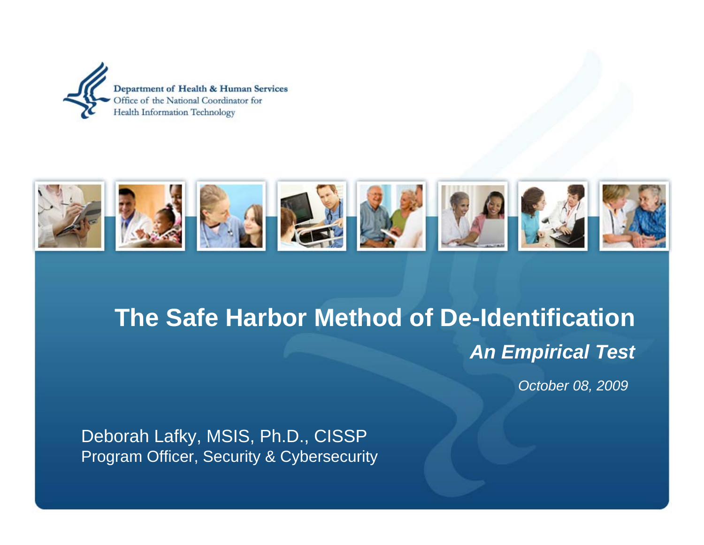



# **The Safe Harbor Method of De-Identification***An Empirical Test*

*October 08, 2009*

Deborah Lafky, MSIS, Ph.D., CISSP Program Officer, Security & Cybersecurity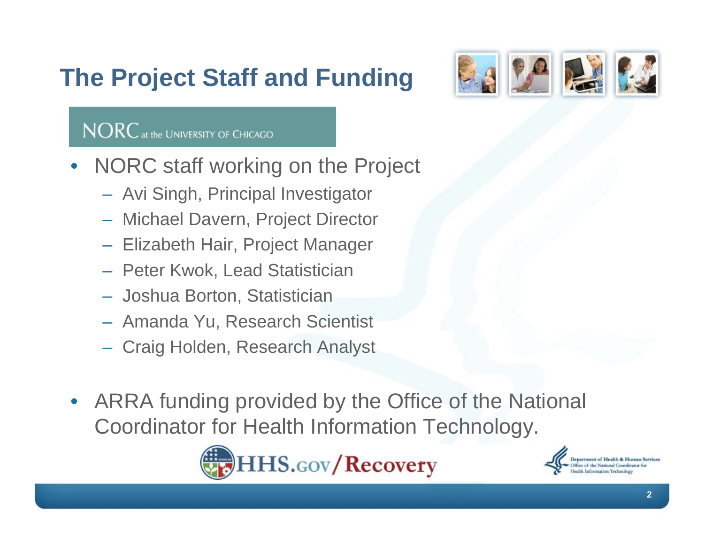# **The Project Staff and Funding**



#### NORC at the UNIVERSITY OF CHICAGO

- NORC staff working on the Project
	- Avi Singh, Principal Investigator
	- Michael Davern, Project Director
	- Elizabeth Hair, Project Manager
	- Peter Kwok, Lead Statistician
	- Joshua Borton, Statistician
	- Amanda Yu, Research Scientist
	- Craig Holden, Research Analyst
- ARRA funding provided by the Office of the National Coordinator for Health Information Technology.



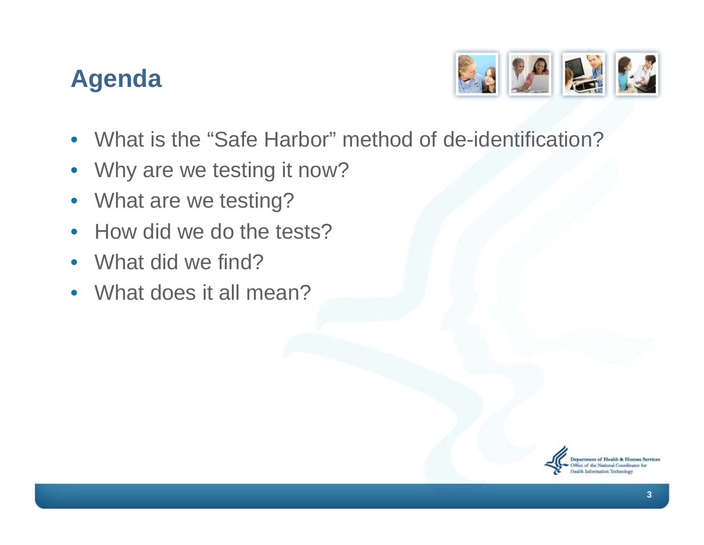#### **Agenda**



- What is the "Safe Harbor" method of de-identification?
- Why are we testing it now?
- What are we testing?
- How did we do the tests?
- What did we find?
- What does it all mean?

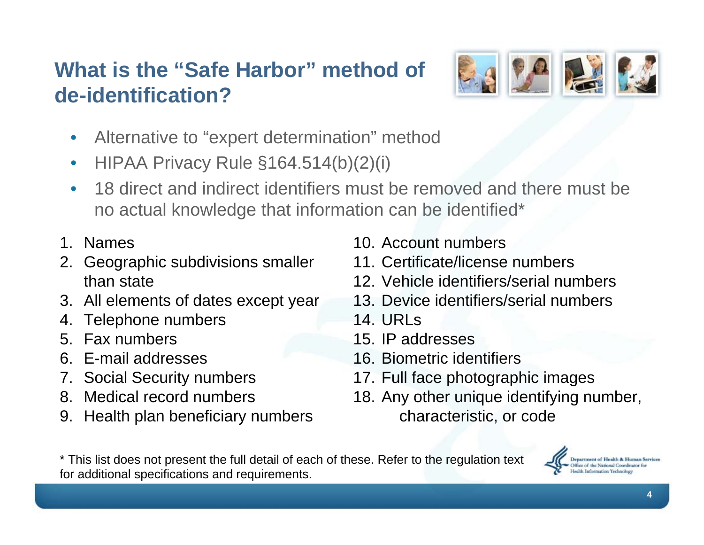#### **What is the "Safe Harbor" method of de-identification?**



- Alternative to "expert determination" method
- HIPAA Privacy Rule §164.514(b)(2)(i)
- 18 direct and indirect identifiers must be removed and there must be no actual knowledge that information can be identified\*
- 1. Names
- 2. Geographic subdivisions smaller than state
- 3. All elements of dates except year
- 4. Telephone numbers
- 5. Fax numbers
- 6. E-mail addresses
- 7. Social Security numbers
- 8. Medical record numbers
- 9. Health plan beneficiary numbers
- 10. Account numbers
- 11. Certificate/license numbers
- 12. Vehicle identifiers/serial numbers
- 13. Device identifiers/serial numbers
- 14. URLs
- 15. IP addresses
- 16. Biometric identifiers
- 17. Full face photographic images
- 18. Any other unique identifying number, characteristic, or code

\* This list does not present the full detail of each of these. Refer to the regulation text for additional specifications and requirements.

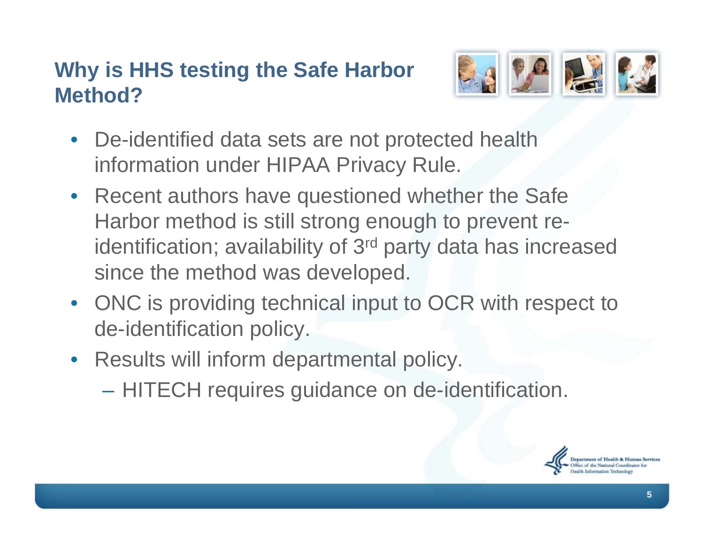#### **Why is HHS testing the Safe Harbor Method?**



- De-identified data sets are not protected health information under HIPAA Privacy Rule.
- Recent authors have questioned whether the Safe Harbor method is still strong enough to prevent reidentification; availability of 3<sup>rd</sup> party data has increased since the method was developed.
- ONC is providing technical input to OCR with respect to de-identification policy.
- Results will inform departmental policy.
	- HITECH requires guidance on de-identification.

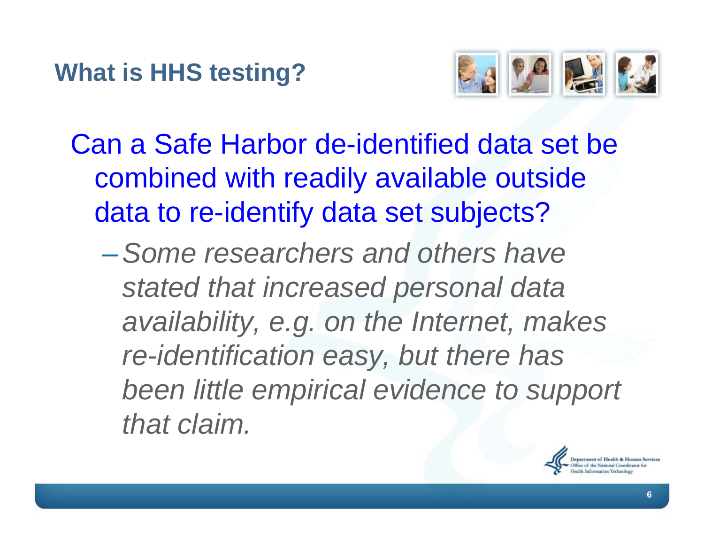

- Can a Safe Harbor de-identified data set be combined with readily available outside data to re-identify data set subjects?
	- –*Some researchers and others have stated that increased personal data availability, e.g. on the Internet, makes re-identification easy, but there has been little empirical evidence to support that claim.*

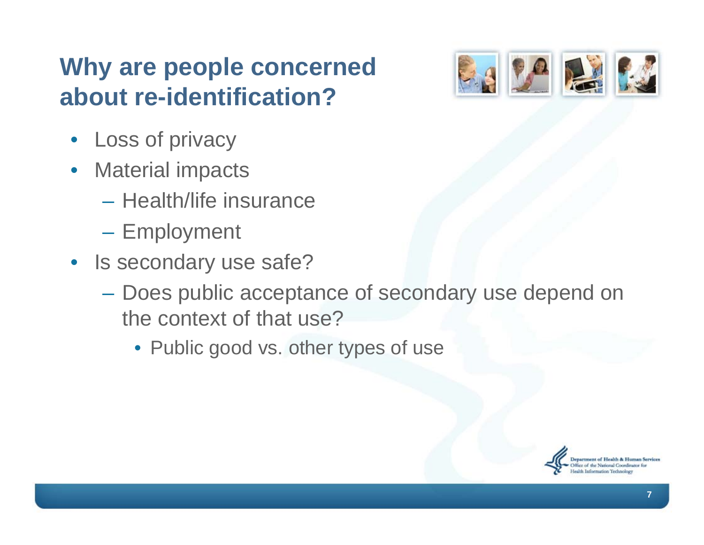#### **Why are people concerned about re-identification?**

- Loss of privacy
- Material impacts
	- Health/life insurance
	- Employment
- Is secondary use safe?
	- Does public acceptance of secondary use depend on the context of that use?
		- Public good vs. other types of use



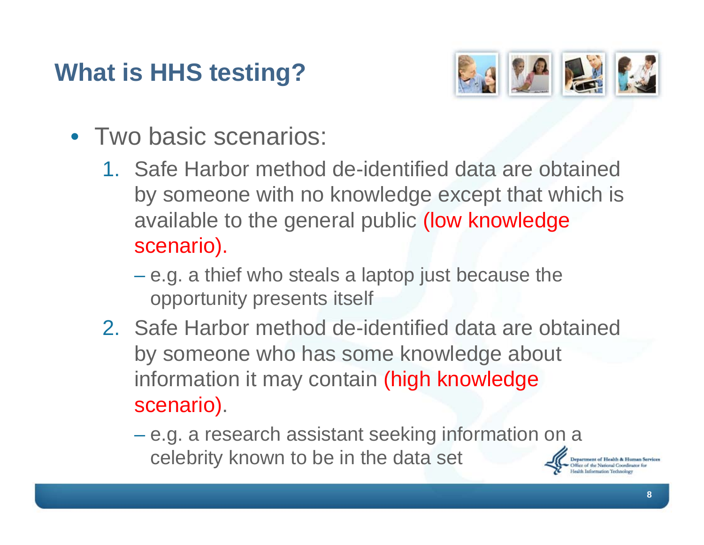## **What is HHS testing?**



- Two basic scenarios:
	- 1. Safe Harbor method de-identified data are obtained by someone with no knowledge except that which is available to the general public (low knowledge scenario).
		- e.g. a thief who steals a laptop just because the opportunity presents itself
	- 2. Safe Harbor method de-identified data are obtained by someone who has some knowledge about information it may contain (high knowledge scenario).
		- e.g. a research assistant seeking information on a celebrity known to be in the data set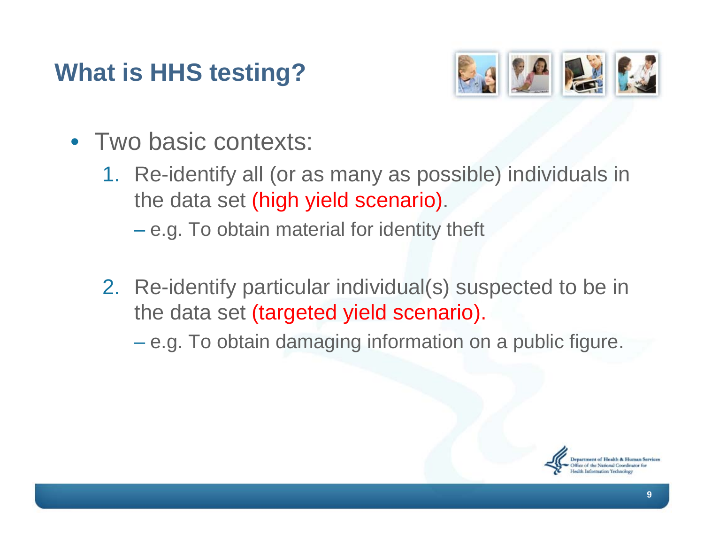## **What is HHS testing?**



- Two basic contexts:
	- 1. Re-identify all (or as many as possible) individuals in the data set (high yield scenario).
		- e.g. To obtain material for identity theft
	- 2. Re-identify particular individual(s) suspected to be in the data set (targeted yield scenario).
		- e.g. To obtain damaging information on a public figure.

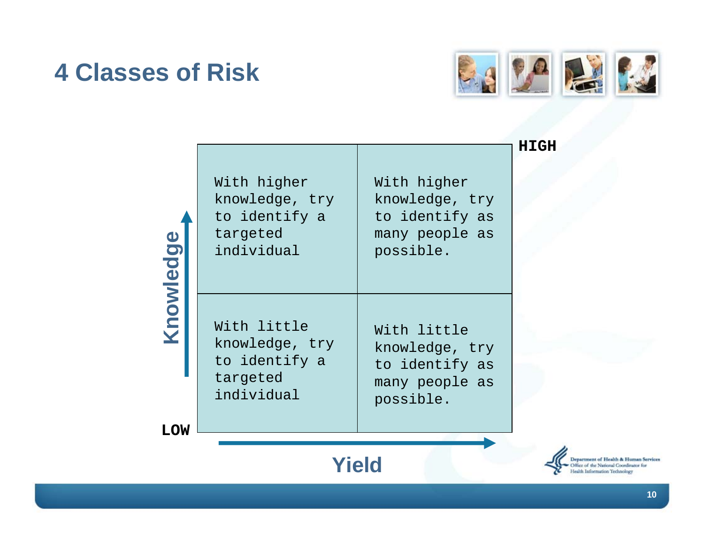#### **4 Classes of Risk**



| Knowledge                                                                                                                      | With higher<br>knowledge, try<br>to identify a<br>targeted<br>individual | With higher<br>knowledge, try<br>to identify as<br>many people as<br>possible. | <b>HIGH</b> |  |  |  |
|--------------------------------------------------------------------------------------------------------------------------------|--------------------------------------------------------------------------|--------------------------------------------------------------------------------|-------------|--|--|--|
|                                                                                                                                | With little<br>knowledge, try<br>to identify a<br>targeted<br>individual | With little<br>knowledge, try<br>to identify as<br>many people as<br>possible. |             |  |  |  |
| <b>LOW</b>                                                                                                                     |                                                                          |                                                                                |             |  |  |  |
| <b>Yield</b><br>epartment of Health & Human Services<br>ffice of the National Coordinator for<br>Iealth Information Technology |                                                                          |                                                                                |             |  |  |  |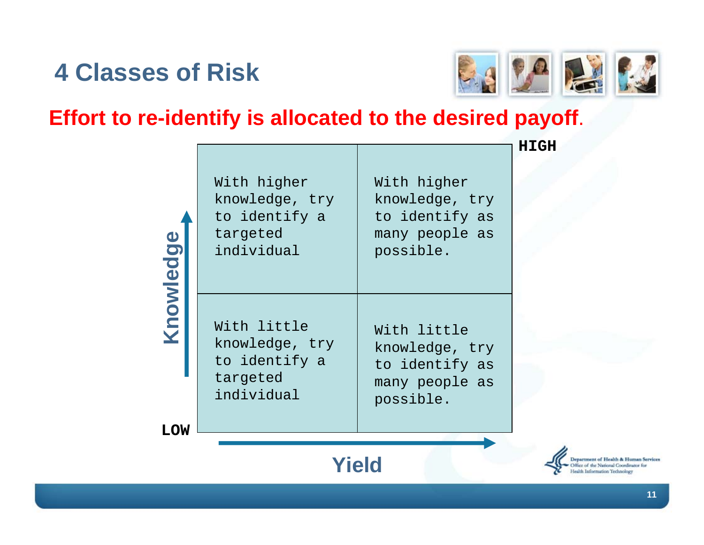#### **4 Classes of Risk**



#### **Effort to re-identify is allocated to the desired payoff**.

| Knowledge  | With higher<br>knowledge, try<br>to identify a<br>targeted<br>individual | With higher<br>knowledge, try<br>to identify as<br>many people as<br>possible. |  |  |  |  |
|------------|--------------------------------------------------------------------------|--------------------------------------------------------------------------------|--|--|--|--|
| <b>LOW</b> | With little<br>knowledge, try<br>to identify a<br>targeted<br>individual | With little<br>knowledge, try<br>to identify as<br>many people as<br>possible. |  |  |  |  |
|            | Yield                                                                    |                                                                                |  |  |  |  |

**HIGH**

Department of Health & Human Services ffice of the National Coordinator for Health Information Technology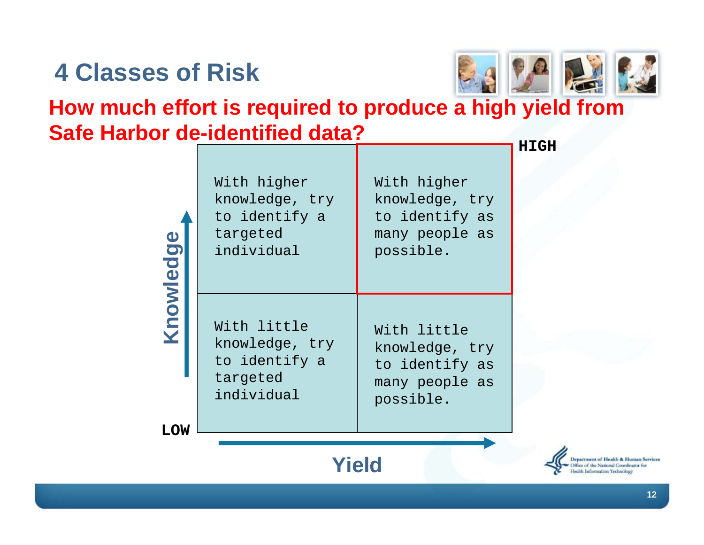### **4 Classes of Risk**



#### **How much effort is required to produce a high yield from Safe Harbor de-identified data?**

| Knowledge  | With higher<br>knowledge, try<br>to identify a<br>targeted<br>individual | With higher<br>knowledge, try<br>to identify as<br>many people as<br>possible. | 11. |  |  |
|------------|--------------------------------------------------------------------------|--------------------------------------------------------------------------------|-----|--|--|
|            | With little<br>knowledge, try<br>to identify a<br>targeted<br>individual | With little<br>knowledge, try<br>to identify as<br>many people as<br>possible. |     |  |  |
| <b>LOW</b> |                                                                          |                                                                                |     |  |  |

**HIGH**

**Department of Health & Human Services** ffice of the National Coordinator for Health Information Technology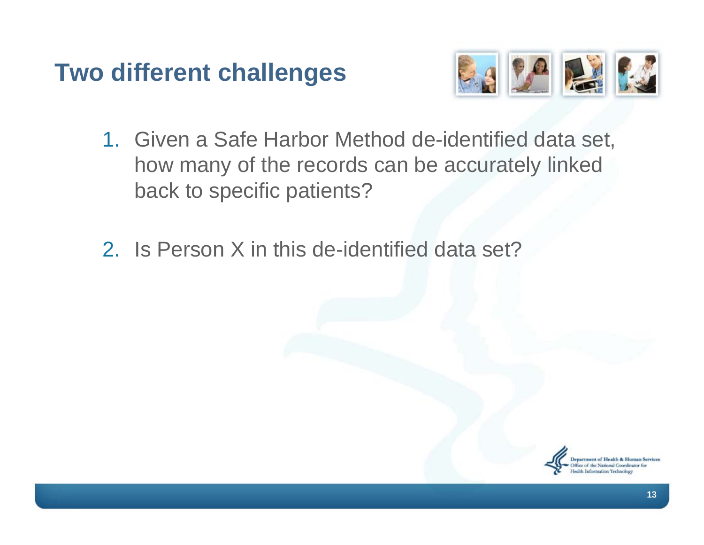#### **Two different challenges**



- 1. Given a Safe Harbor Method de-identified data set, how many of the records can be accurately linked back to specific patients?
- 2. Is Person X in this de-identified data set?

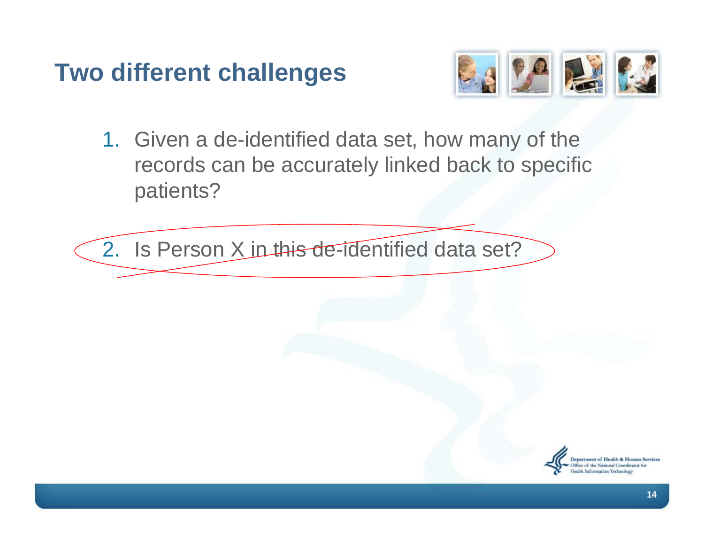#### **Two different challenges**



1. Given a de-identified data set, how many of the records can be accurately linked back to specific patients?

2. Is Person X in this de-identified data set?

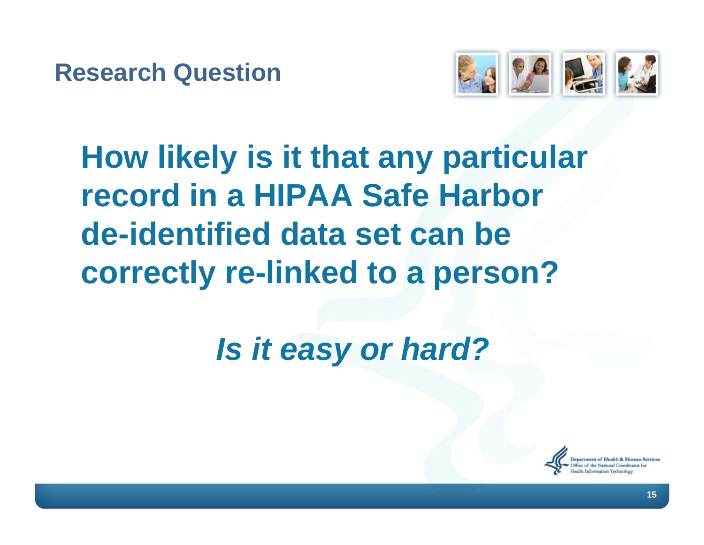

# **How likely is it that any particular record in a HIPAA Safe Harbor de-identified data set can be correctly re-linked to a person?**

# *Is it easy or hard?*

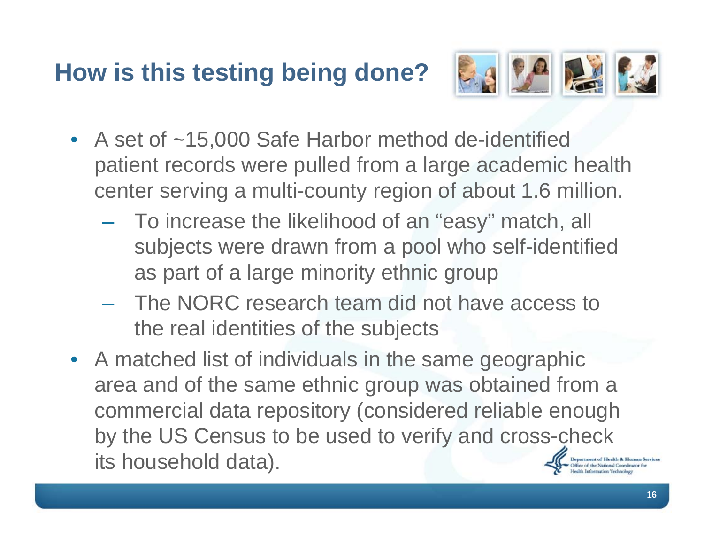## **How is this testing being done?**



- A set of ~15,000 Safe Harbor method de-identified patient records were pulled from a large academic health center serving a multi-county region of about 1.6 million.
	- To increase the likelihood of an "easy" match, all subjects were drawn from a pool who self-identified as part of a large minority ethnic group
	- The NORC research team did not have access to the real identities of the subjects
- A matched list of individuals in the same geographic area and of the same ethnic group was obtained from a commercial data repository (considered reliable enough by the US Census to be used to verify and cross-check its household data).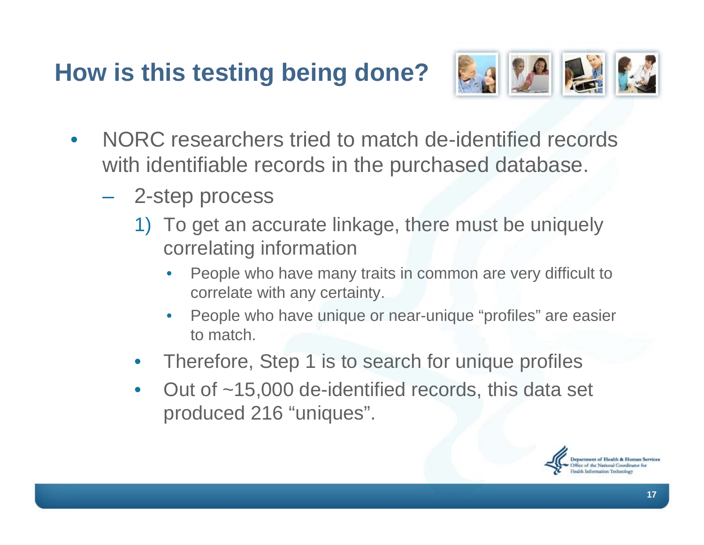## **How is this testing being done?**



- NORC researchers tried to match de-identified records with identifiable records in the purchased database.
	- 2-step process
		- 1) To get an accurate linkage, there must be uniquely correlating information
			- People who have many traits in common are very difficult to correlate with any certainty.
			- People who have unique or near-unique "profiles" are easier to match.
		- Therefore, Step 1 is to search for unique profiles
		- Out of ~15,000 de-identified records, this data set produced 216 "uniques".

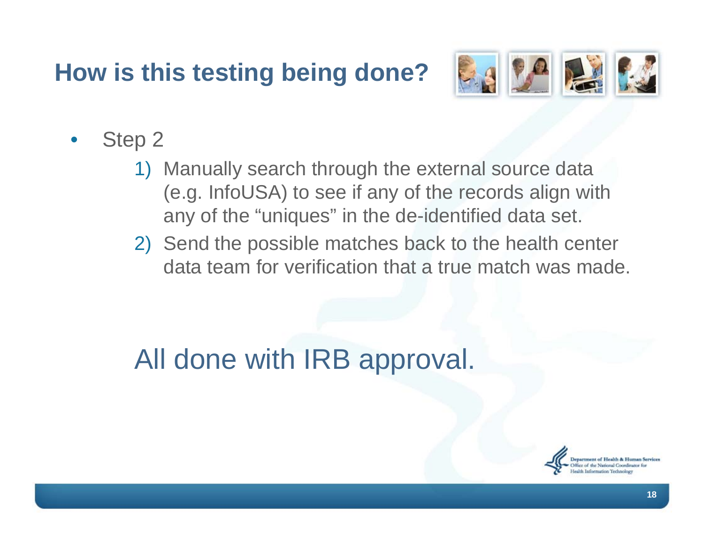## **How is this testing being done?**



- Step 2
	- 1) Manually search through the external source data (e.g. InfoUSA) to see if any of the records align with any of the "uniques" in the de-identified data set.
	- 2) Send the possible matches back to the health center data team for verification that a true match was made.

All done with IRB approval.

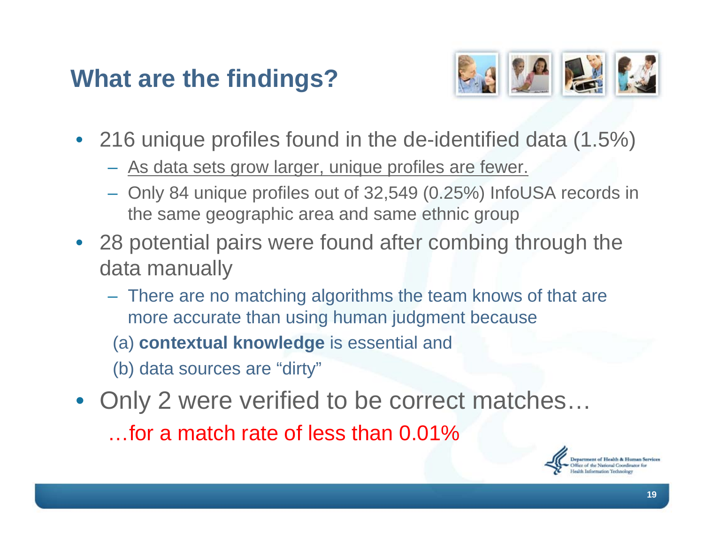#### **What are the findings?**



- 216 unique profiles found in the de-identified data (1.5%)
	- As data sets grow larger, unique profiles are fewer.
	- Only 84 unique profiles out of 32,549 (0.25%) InfoUSA records in the same geographic area and same ethnic group
- 28 potential pairs were found after combing through the data manually
	- There are no matching algorithms the team knows of that are more accurate than using human judgment because
		- (a) **contextual knowledge** is essential and
	- (b) data sources are "dirty"
- Only 2 were verified to be correct matches... …for a match rate of less than 0.01%

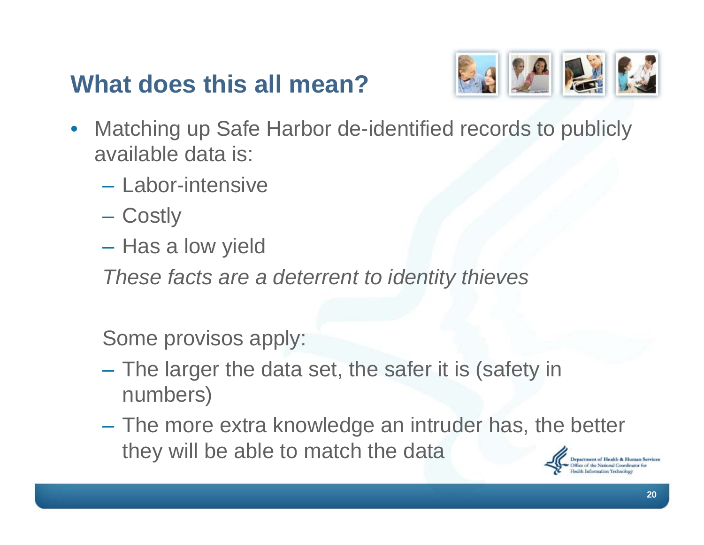#### **What does this all mean?**



- Matching up Safe Harbor de-identified records to publicly available data is:
	- Labor-intensive
	- Costly
	- Has a low yield
	- *These facts are a deterrent to identity thieves*

Some provisos apply:

- The larger the data set, the safer it is (safety in numbers)
- The more extra knowledge an intruder has, the better they will be able to match the data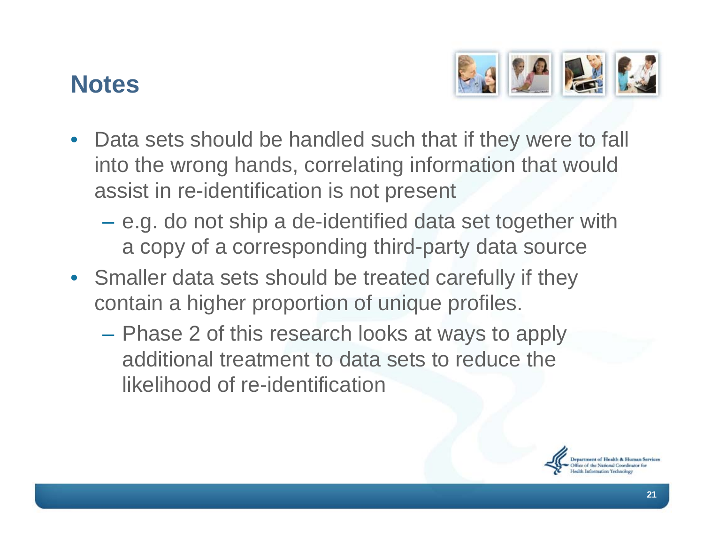#### **Notes**



- Data sets should be handled such that if they were to fall into the wrong hands, correlating information that would assist in re-identification is not present
	- e.g. do not ship a de-identified data set together with a copy of a corresponding third-party data source
- Smaller data sets should be treated carefully if they contain a higher proportion of unique profiles.
	- Phase 2 of this research looks at ways to apply additional treatment to data sets to reduce the likelihood of re-identification

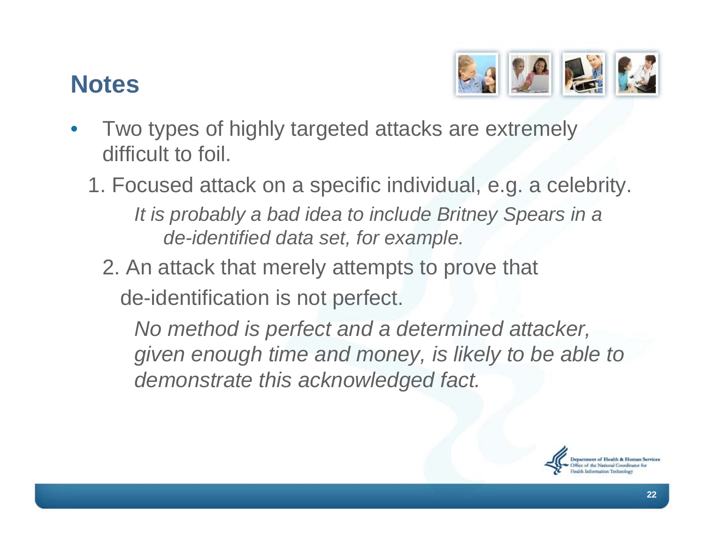#### **Notes**



- Two types of highly targeted attacks are extremely difficult to foil.
	- 1. Focused attack on a specific individual, e.g. a celebrity. *It is probably a bad idea to include Britney Spears in a de-identified data set, for example.*
		- 2. An attack that merely attempts to prove that de-identification is not perfect.

*No method is perfect and a determined attacker, given enough time and money, is likely to be able to demonstrate this acknowledged fact.*

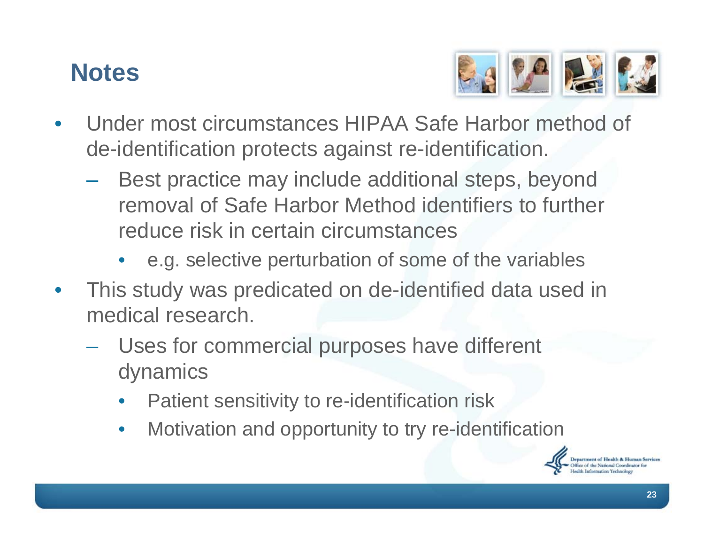#### **Notes**



- Under most circumstances HIPAA Safe Harbor method of de-identification protects against re-identification.
	- Best practice may include additional steps, beyond removal of Safe Harbor Method identifiers to further reduce risk in certain circumstances
		- e.g. selective perturbation of some of the variables
- This study was predicated on de-identified data used in medical research.
	- Uses for commercial purposes have different dynamics
		- Patient sensitivity to re-identification risk
		- Motivation and opportunity to try re-identification